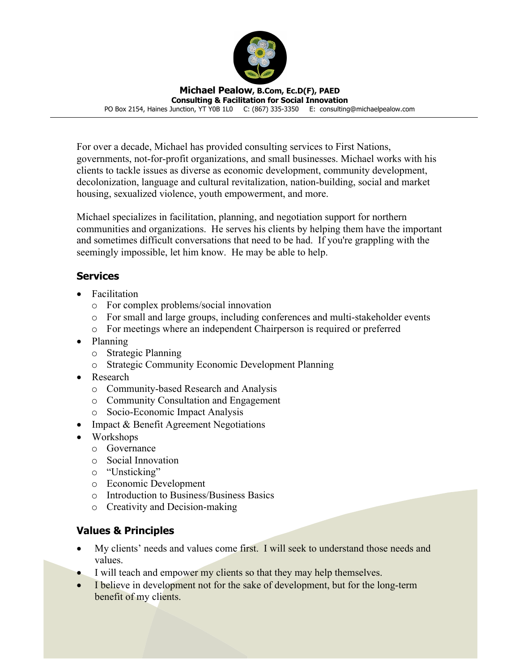

**Michael Pealow, B.Com, Ec.D(F), PAED Consulting & Facilitation for Social Innovation**

PO Box 2154, Haines Junction, YT Y0B 1L0 C: (867) 335-3350 E: consulting@michaelpealow.com

For over a decade, Michael has provided consulting services to First Nations, governments, not-for-profit organizations, and small businesses. Michael works with his clients to tackle issues as diverse as economic development, community development, decolonization, language and cultural revitalization, nation-building, social and market housing, sexualized violence, youth empowerment, and more.

Michael specializes in facilitation, planning, and negotiation support for northern communities and organizations. He serves his clients by helping them have the important and sometimes difficult conversations that need to be had. If you're grappling with the seemingly impossible, let him know. He may be able to help.

# **Services**

- Facilitation
	- o For complex problems/social innovation
	- o For small and large groups, including conferences and multi-stakeholder events
	- o For meetings where an independent Chairperson is required or preferred
- Planning
	- o Strategic Planning
	- o Strategic Community Economic Development Planning
- Research
	- o Community-based Research and Analysis
	- o Community Consultation and Engagement
	- o Socio-Economic Impact Analysis
- Impact & Benefit Agreement Negotiations
- Workshops
	- o Governance
	- o Social Innovation
	- o "Unsticking"
	- o Economic Development
	- o Introduction to Business/Business Basics
	- o Creativity and Decision-making

# **Values & Principles**

- My clients' needs and values come first. I will seek to understand those needs and values.
- I will teach and empower my clients so that they may help themselves.
- I believe in development not for the sake of development, but for the long-term benefit of my clients.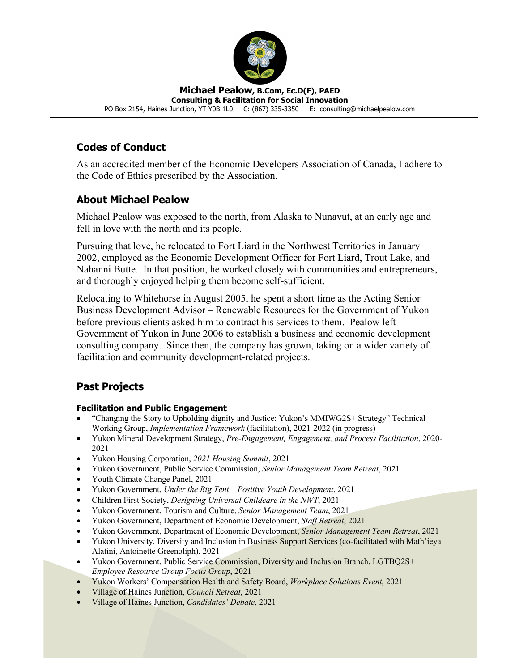

#### **Michael Pealow, B.Com, Ec.D(F), PAED Consulting & Facilitation for Social Innovation**

PO Box 2154, Haines Junction, YT Y0B 1L0 C: (867) 335-3350 E: consulting@michaelpealow.com

## **Codes of Conduct**

As an accredited member of the Economic Developers Association of Canada, I adhere to the Code of Ethics prescribed by the Association.

## **About Michael Pealow**

Michael Pealow was exposed to the north, from Alaska to Nunavut, at an early age and fell in love with the north and its people.

Pursuing that love, he relocated to Fort Liard in the Northwest Territories in January 2002, employed as the Economic Development Officer for Fort Liard, Trout Lake, and Nahanni Butte. In that position, he worked closely with communities and entrepreneurs, and thoroughly enjoyed helping them become self-sufficient.

Relocating to Whitehorse in August 2005, he spent a short time as the Acting Senior Business Development Advisor – Renewable Resources for the Government of Yukon before previous clients asked him to contract his services to them. Pealow left Government of Yukon in June 2006 to establish a business and economic development consulting company. Since then, the company has grown, taking on a wider variety of facilitation and community development-related projects.

# **Past Projects**

## **Facilitation and Public Engagement**

- "Changing the Story to Upholding dignity and Justice: Yukon's MMIWG2S+ Strategy" Technical Working Group, *Implementation Framework* (facilitation), 2021-2022 (in progress)
- Yukon Mineral Development Strategy, *Pre-Engagement, Engagement, and Process Facilitation*, 2020- 2021
- Yukon Housing Corporation, *2021 Housing Summit*, 2021
- Yukon Government, Public Service Commission, *Senior Management Team Retreat*, 2021
- Youth Climate Change Panel, 2021
- Yukon Government, *Under the Big Tent – Positive Youth Development*, 2021
- Children First Society, *Designing Universal Childcare in the NWT*, 2021
- Yukon Government, Tourism and Culture, *Senior Management Team*, 2021
- Yukon Government, Department of Economic Development, *Staff Retreat*, 2021
- Yukon Government, Department of Economic Development, *Senior Management Team Retreat*, 2021
- Yukon University, Diversity and Inclusion in Business Support Services (co-facilitated with Math'ieya Alatini, Antoinette Greenoliph), 2021
- Yukon Government, Public Service Commission, Diversity and Inclusion Branch, LGTBO2S+ *Employee Resource Group Focus Group*, 2021
- Yukon Workers' Compensation Health and Safety Board, *Workplace Solutions Event*, 2021
- Village of Haines Junction, *Council Retreat*, 2021
- Village of Haines Junction, *Candidates' Debate*, 2021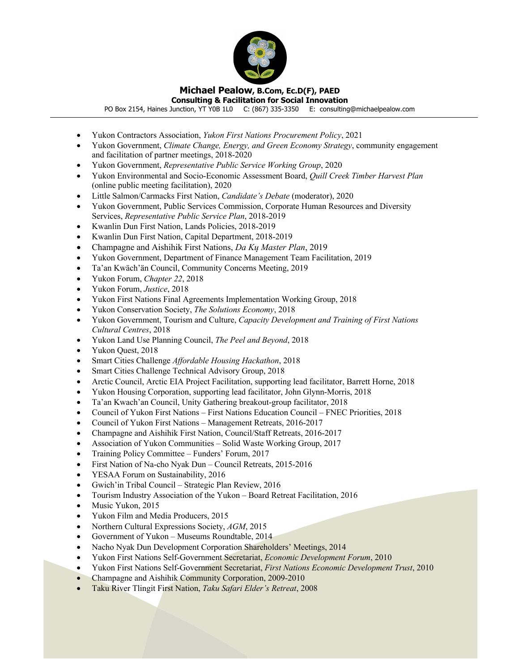

**Consulting & Facilitation for Social Innovation**

PO Box 2154, Haines Junction, YT Y0B 1L0 C: (867) 335-3350 E: consulting@michaelpealow.com

- Yukon Contractors Association, *Yukon First Nations Procurement Policy*, 2021
- Yukon Government, *Climate Change, Energy, and Green Economy Strategy*, community engagement and facilitation of partner meetings, 2018-2020
- Yukon Government, *Representative Public Service Working Group*, 2020
- Yukon Environmental and Socio-Economic Assessment Board, *Quill Creek Timber Harvest Plan*  (online public meeting facilitation), 2020
- Little Salmon/Carmacks First Nation, *Candidate's Debate* (moderator), 2020
- Yukon Government, Public Services Commission, Corporate Human Resources and Diversity Services, *Representative Public Service Plan*, 2018-2019
- Kwanlin Dun First Nation, Lands Policies, 2018-2019
- Kwanlin Dun First Nation, Capital Department, 2018-2019
- Champagne and Aishihik First Nations, *Da Kų Master Plan*, 2019
- Yukon Government, Department of Finance Management Team Facilitation, 2019
- Ta'an Kwäch'än Council, Community Concerns Meeting, 2019
- Yukon Forum, *Chapter 22*, 2018
- Yukon Forum, *Justice*, 2018
- Yukon First Nations Final Agreements Implementation Working Group, 2018
- Yukon Conservation Society, *The Solutions Economy*, 2018
- Yukon Government, Tourism and Culture, *Capacity Development and Training of First Nations Cultural Centres*, 2018
- Yukon Land Use Planning Council, *The Peel and Beyond*, 2018
- Yukon Quest, 2018
- Smart Cities Challenge *Affordable Housing Hackathon*, 2018
- Smart Cities Challenge Technical Advisory Group, 2018
- Arctic Council, Arctic EIA Project Facilitation, supporting lead facilitator, Barrett Horne, 2018
- Yukon Housing Corporation, supporting lead facilitator, John Glynn-Morris, 2018
- Ta'an Kwach'an Council, Unity Gathering breakout-group facilitator, 2018
- Council of Yukon First Nations First Nations Education Council FNEC Priorities, 2018
- Council of Yukon First Nations Management Retreats, 2016-2017
- Champagne and Aishihik First Nation, Council/Staff Retreats, 2016-2017
- Association of Yukon Communities Solid Waste Working Group, 2017
- Training Policy Committee Funders' Forum, 2017
- First Nation of Na-cho Nyak Dun Council Retreats, 2015-2016
- YESAA Forum on Sustainability, 2016
- Gwich'in Tribal Council Strategic Plan Review, 2016
- Tourism Industry Association of the Yukon Board Retreat Facilitation, 2016
- Music Yukon, 2015
- Yukon Film and Media Producers, 2015
- Northern Cultural Expressions Society, *AGM*, 2015
- Government of Yukon Museums Roundtable, 2014
- Nacho Nyak Dun Development Corporation Shareholders' Meetings, 2014
- Yukon First Nations Self-Government Secretariat, *Economic Development Forum*, 2010
- Yukon First Nations Self-Government Secretariat, *First Nations Economic Development Trust*, 2010
- Champagne and Aishihik Community Corporation, 2009-2010
- Taku River Tlingit First Nation, *Taku Safari Elder's Retreat*, 2008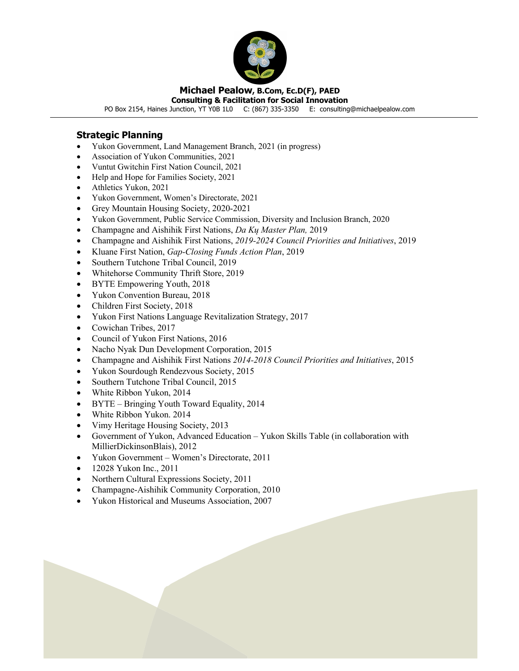

**Consulting & Facilitation for Social Innovation**

PO Box 2154, Haines Junction, YT Y0B 1L0 C: (867) 335-3350 E: consulting@michaelpealow.com

## **Strategic Planning**

- Yukon Government, Land Management Branch, 2021 (in progress)
- Association of Yukon Communities, 2021
- Vuntut Gwitchin First Nation Council, 2021
- Help and Hope for Families Society, 2021
- Athletics Yukon, 2021
- Yukon Government, Women's Directorate, 2021
- Grey Mountain Housing Society, 2020-2021
- Yukon Government, Public Service Commission, Diversity and Inclusion Branch, 2020
- Champagne and Aishihik First Nations, *Da Kų Master Plan,* 2019
- Champagne and Aishihik First Nations, *2019-2024 Council Priorities and Initiatives*, 2019
- Kluane First Nation, *Gap-Closing Funds Action Plan*, 2019
- Southern Tutchone Tribal Council, 2019
- Whitehorse Community Thrift Store, 2019
- BYTE Empowering Youth, 2018
- Yukon Convention Bureau, 2018
- Children First Society, 2018
- Yukon First Nations Language Revitalization Strategy, 2017
- Cowichan Tribes, 2017
- Council of Yukon First Nations, 2016
- Nacho Nyak Dun Development Corporation, 2015
- Champagne and Aishihik First Nations *2014-2018 Council Priorities and Initiatives*, 2015
- Yukon Sourdough Rendezvous Society, 2015
- Southern Tutchone Tribal Council, 2015
- White Ribbon Yukon, 2014
- BYTE Bringing Youth Toward Equality, 2014
- White Ribbon Yukon. 2014
- Vimy Heritage Housing Society, 2013
- Government of Yukon, Advanced Education Yukon Skills Table (in collaboration with MillierDickinsonBlais), 2012
- Yukon Government Women's Directorate, 2011
- 12028 Yukon Inc., 2011
- Northern Cultural Expressions Society, 2011
- Champagne-Aishihik Community Corporation, 2010
- Yukon Historical and Museums Association, 2007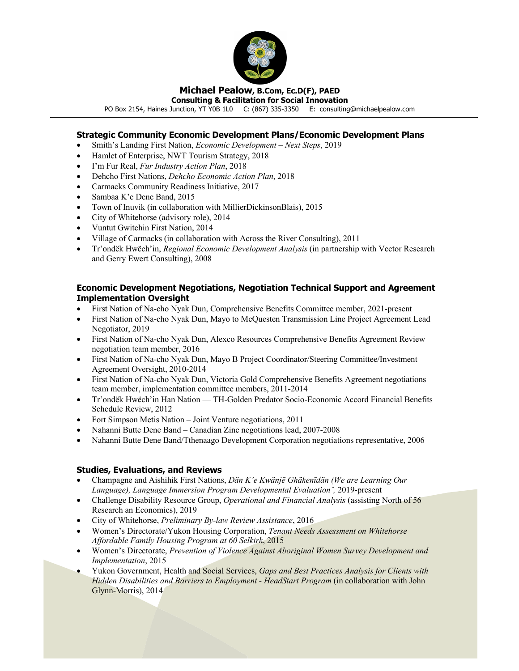

**Consulting & Facilitation for Social Innovation**

PO Box 2154, Haines Junction, YT Y0B 1L0 C: (867) 335-3350 E: consulting@michaelpealow.com

## **Strategic Community Economic Development Plans/Economic Development Plans**

- Smith's Landing First Nation, *Economic Development – Next Steps*, 2019
- Hamlet of Enterprise, NWT Tourism Strategy, 2018
- I'm Fur Real, *Fur Industry Action Plan*, 2018
- Dehcho First Nations, *Dehcho Economic Action Plan*, 2018
- Carmacks Community Readiness Initiative, 2017
- Sambaa K'e Dene Band, 2015
- Town of Inuvik (in collaboration with MillierDickinsonBlais), 2015
- City of Whitehorse (advisory role), 2014
- Vuntut Gwitchin First Nation, 2014
- Village of Carmacks (in collaboration with Across the River Consulting), 2011
- Tr'ondëk Hwëch'in, *Regional Economic Development Analysis* (in partnership with Vector Research and Gerry Ewert Consulting), 2008

### **Economic Development Negotiations, Negotiation Technical Support and Agreement Implementation Oversight**

- First Nation of Na-cho Nyak Dun, Comprehensive Benefits Committee member, 2021-present
- First Nation of Na-cho Nyak Dun, Mayo to McQuesten Transmission Line Project Agreement Lead Negotiator, 2019
- First Nation of Na-cho Nyak Dun, Alexco Resources Comprehensive Benefits Agreement Review negotiation team member, 2016
- First Nation of Na-cho Nyak Dun, Mayo B Project Coordinator/Steering Committee/Investment Agreement Oversight, 2010-2014
- First Nation of Na-cho Nyak Dun, Victoria Gold Comprehensive Benefits Agreement negotiations team member, implementation committee members, 2011-2014
- Tr'ondëk Hwëch'in Han Nation TH-Golden Predator Socio-Economic Accord Financial Benefits Schedule Review, 2012
- Fort Simpson Metis Nation Joint Venture negotiations, 2011
- Nahanni Butte Dene Band Canadian Zinc negotiations lead, 2007-2008
- Nahanni Butte Dene Band/Tthenaago Development Corporation negotiations representative, 2006

#### **Studies, Evaluations, and Reviews**

- Champagne and Aishihik First Nations, *Dän K'e Kwänjē Ghäkenīdän (We are Learning Our Language), Language Immersion Program Developmental Evaluationˆ,* 2019-present
- Challenge Disability Resource Group, *Operational and Financial Analysis* (assisting North of 56 Research an Economics), 2019
- City of Whitehorse, *Preliminary By-law Review Assistance*, 2016
- Women's Directorate/Yukon Housing Corporation, *Tenant Needs Assessment on Whitehorse Affordable Family Housing Program at 60 Selkirk*, 2015
- Women's Directorate, *Prevention of Violence Against Aboriginal Women Survey Development and Implementation*, 2015
- Yukon Government, Health and Social Services, *Gaps and Best Practices Analysis for Clients with Hidden Disabilities and Barriers to Employment - HeadStart Program* (in collaboration with John Glynn-Morris), 2014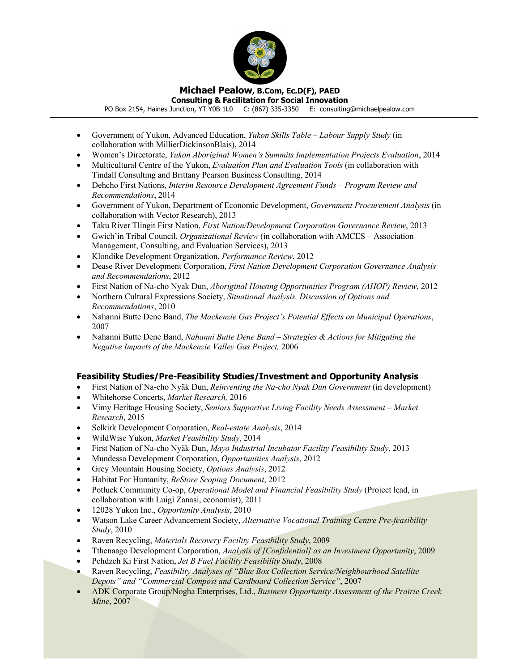

**Consulting & Facilitation for Social Innovation** PO Box 2154, Haines Junction, YT Y0B 1L0 C: (867) 335-3350 E: consulting@michaelpealow.com

- Government of Yukon, Advanced Education, *Yukon Skills Table – Labour Supply Study* (in collaboration with MillierDickinsonBlais), 2014
- Women's Directorate, *Yukon Aboriginal Women's Summits Implementation Projects Evaluation*, 2014
- Multicultural Centre of the Yukon, *Evaluation Plan and Evaluation Tools* (in collaboration with Tindall Consulting and Brittany Pearson Business Consulting, 2014
- Dehcho First Nations, *Interim Resource Development Agreement Funds – Program Review and Recommendations*, 2014
- Government of Yukon, Department of Economic Development, *Government Procurement Analysis* (in collaboration with Vector Research), 2013
- Taku River Tlingit First Nation, *First Nation/Development Corporation Governance Review*, 2013
- Gwich'in Tribal Council, *Organizational Review* (in collaboration with AMCES Association Management, Consulting, and Evaluation Services), 2013
- Klondike Development Organization, *Performance Review*, 2012
- Dease River Development Corporation, *First Nation Development Corporation Governance Analysis and Recommendations*, 2012
- First Nation of Na-cho Nyak Dun, *Aboriginal Housing Opportunities Program (AHOP) Review*, 2012
- Northern Cultural Expressions Society, *Situational Analysis, Discussion of Options and Recommendations*, 2010
- Nahanni Butte Dene Band, *The Mackenzie Gas Project's Potential Effects on Municipal Operations*, 2007
- Nahanni Butte Dene Band, *Nahanni Butte Dene Band – Strategies & Actions for Mitigating the Negative Impacts of the Mackenzie Valley Gas Project,* 2006

## **Feasibility Studies/Pre-Feasibility Studies/Investment and Opportunity Analysis**

- First Nation of Na-cho Nyäk Dun, *Reinventing the Na-cho Nyak Dun Government* (in development)
- Whitehorse Concerts, *Market Research,* 2016
- Vimy Heritage Housing Society, *Seniors Supportive Living Facility Needs Assessment – Market Research*, 2015
- Selkirk Development Corporation, *Real-estate Analysis*, 2014
- WildWise Yukon, *Market Feasibility Study*, 2014
- First Nation of Na-cho Nyäk Dun, *Mayo Industrial Incubator Facility Feasibility Study*, 2013
- Mundessa Development Corporation, *Opportunities Analysis*, 2012
- Grey Mountain Housing Society, *Options Analysis*, 2012
- Habitat For Humanity, *ReStore Scoping Document*, 2012
- Potluck Community Co-op, *Operational Model and Financial Feasibility Study* (Project lead, in collaboration with Luigi Zanasi, economist), 2011
- 12028 Yukon Inc., *Opportunity Analysis*, 2010
- Watson Lake Career Advancement Society, *Alternative Vocational Training Centre Pre-feasibility Study*, 2010
- Raven Recycling, *Materials Recovery Facility Feasibility Study*, 2009
- Tthenaago Development Corporation, *Analysis of [Confidential] as an Investment Opportunity*, 2009
- Pehdzeh Ki First Nation, *Jet B Fuel Facility Feasibility Study*, 2008
- Raven Recycling, *Feasibility Analyses of "Blue Box Collection Service/Neighbourhood Satellite Depots" and "Commercial Compost and Cardboard Collection Service"*, 2007
- ADK Corporate Group/Nogha Enterprises, Ltd., *Business Opportunity Assessment of the Prairie Creek Mine*, 2007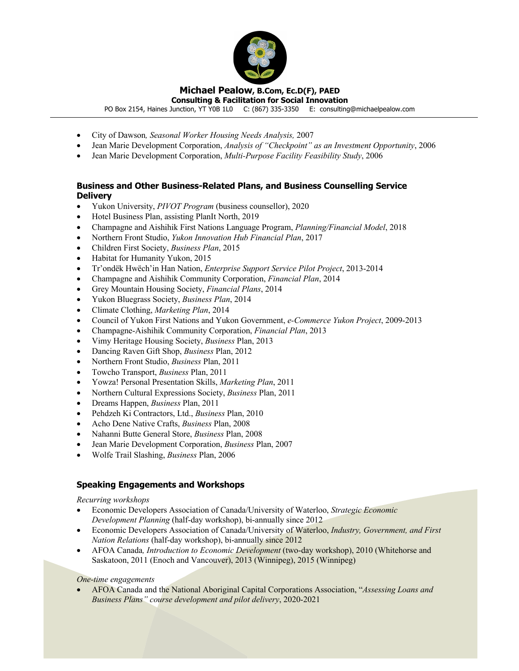

**Consulting & Facilitation for Social Innovation**

PO Box 2154, Haines Junction, YT Y0B 1L0 C: (867) 335-3350 E: consulting@michaelpealow.com

- City of Dawson*, Seasonal Worker Housing Needs Analysis,* 2007
- Jean Marie Development Corporation, *Analysis of "Checkpoint" as an Investment Opportunity*, 2006
- Jean Marie Development Corporation, *Multi-Purpose Facility Feasibility Study*, 2006

### **Business and Other Business-Related Plans, and Business Counselling Service Delivery**

- Yukon University, *PIVOT Program* (business counsellor), 2020
- Hotel Business Plan, assisting PlanIt North, 2019
- Champagne and Aishihik First Nations Language Program, *Planning/Financial Model*, 2018
- Northern Front Studio, *Yukon Innovation Hub Financial Plan*, 2017
- Children First Society, *Business Plan*, 2015
- Habitat for Humanity Yukon, 2015
- Tr'ondëk Hwëch'in Han Nation, *Enterprise Support Service Pilot Project*, 2013-2014
- Champagne and Aishihik Community Corporation, *Financial Plan*, 2014
- Grey Mountain Housing Society, *Financial Plans*, 2014
- Yukon Bluegrass Society, *Business Plan*, 2014
- Climate Clothing, *Marketing Plan*, 2014
- Council of Yukon First Nations and Yukon Government, *e-Commerce Yukon Project*, 2009-2013
- Champagne-Aishihik Community Corporation, *Financial Plan*, 2013
- Vimy Heritage Housing Society, *Business* Plan, 2013
- Dancing Raven Gift Shop, *Business* Plan, 2012
- Northern Front Studio, *Business* Plan, 2011
- Towcho Transport, *Business* Plan, 2011
- Yowza! Personal Presentation Skills, *Marketing Plan*, 2011
- Northern Cultural Expressions Society, *Business* Plan, 2011
- Dreams Happen, *Business* Plan, 2011
- Pehdzeh Ki Contractors, Ltd., *Business* Plan, 2010
- Acho Dene Native Crafts, *Business* Plan, 2008
- Nahanni Butte General Store, *Business* Plan, 2008
- Jean Marie Development Corporation, *Business* Plan, 2007
- Wolfe Trail Slashing, *Business* Plan, 2006

## **Speaking Engagements and Workshops**

*Recurring workshops*

- Economic Developers Association of Canada/University of Waterloo, *Strategic Economic Development Planning* (half-day workshop), bi-annually since 2012
- Economic Developers Association of Canada/University of Waterloo, *Industry, Government, and First Nation Relations* (half-day workshop), bi-annually since 2012
- AFOA Canada*, Introduction to Economic Development* (two-day workshop), 2010 (Whitehorse and Saskatoon, 2011 (Enoch and Vancouver), 2013 (Winnipeg), 2015 (Winnipeg)

*One-time engagements*

• AFOA Canada and the National Aboriginal Capital Corporations Association, "*Assessing Loans and Business Plans" course development and pilot delivery*, 2020-2021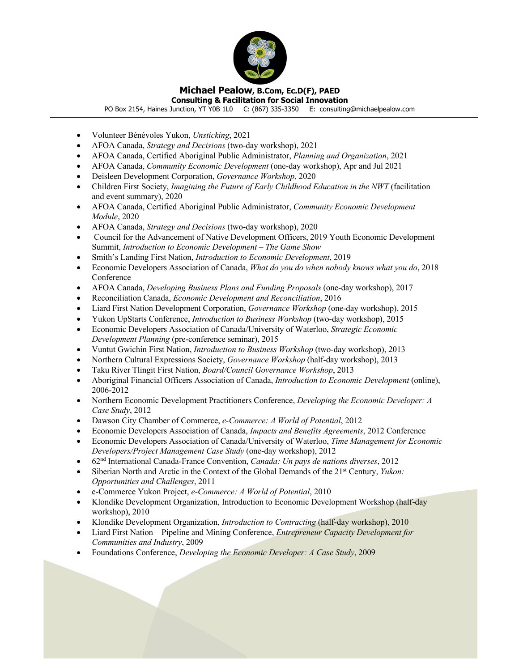

**Consulting & Facilitation for Social Innovation** PO Box 2154, Haines Junction, YT Y0B 1L0 C: (867) 335-3350 E: consulting@michaelpealow.com

- Volunteer Bénévoles Yukon, *Unsticking*, 2021
- AFOA Canada, *Strategy and Decisions* (two-day workshop), 2021
- AFOA Canada, Certified Aboriginal Public Administrator, *Planning and Organization*, 2021
- AFOA Canada, *Community Economic Development* (one-day workshop), Apr and Jul 2021
- Deisleen Development Corporation, *Governance Workshop*, 2020
- Children First Society, *Imagining the Future of Early Childhood Education in the NWT* (facilitation and event summary), 2020
- AFOA Canada, Certified Aboriginal Public Administrator, *Community Economic Development Module*, 2020
- AFOA Canada, *Strategy and Decisions* (two-day workshop), 2020
- Council for the Advancement of Native Development Officers, 2019 Youth Economic Development Summit, *Introduction to Economic Development – The Game Show*
- Smith's Landing First Nation, *Introduction to Economic Development*, 2019
- Economic Developers Association of Canada, *What do you do when nobody knows what you do*, 2018 Conference
- AFOA Canada, *Developing Business Plans and Funding Proposals* (one-day workshop), 2017
- Reconciliation Canada, *Economic Development and Reconciliation*, 2016
- Liard First Nation Development Corporation, *Governance Workshop* (one-day workshop), 2015
- Yukon UpStarts Conference, *Introduction to Business Workshop* (two-day workshop), 2015
- Economic Developers Association of Canada/University of Waterloo, *Strategic Economic Development Planning* (pre-conference seminar), 2015
- Vuntut Gwichin First Nation, *Introduction to Business Workshop* (two-day workshop), 2013
- Northern Cultural Expressions Society, *Governance Workshop* (half-day workshop), 2013
- Taku River Tlingit First Nation, *Board/Council Governance Workshop*, 2013
- Aboriginal Financial Officers Association of Canada, *Introduction to Economic Development* (online), 2006-2012
- Northern Economic Development Practitioners Conference, *Developing the Economic Developer: A Case Study*, 2012
- Dawson City Chamber of Commerce, *e-Commerce: A World of Potential*, 2012
- Economic Developers Association of Canada, *Impacts and Benefits Agreements*, 2012 Conference
- Economic Developers Association of Canada/University of Waterloo, *Time Management for Economic Developers/Project Management Case Study* (one-day workshop), 2012
- 62nd International Canada-France Convention, *Canada: Un pays de nations diverses*, 2012
- Siberian North and Arctic in the Context of the Global Demands of the 21<sup>st</sup> Century, *Yukon: Opportunities and Challenges*, 2011
- e-Commerce Yukon Project, *e-Commerce: A World of Potential*, 2010
- Klondike Development Organization, Introduction to Economic Development Workshop (half-day workshop), 2010
- Klondike Development Organization, *Introduction to Contracting* (half-day workshop), 2010
- Liard First Nation Pipeline and Mining Conference, *Entrepreneur Capacity Development for Communities and Industry*, 2009
- Foundations Conference, *Developing the Economic Developer: A Case Study*, 2009